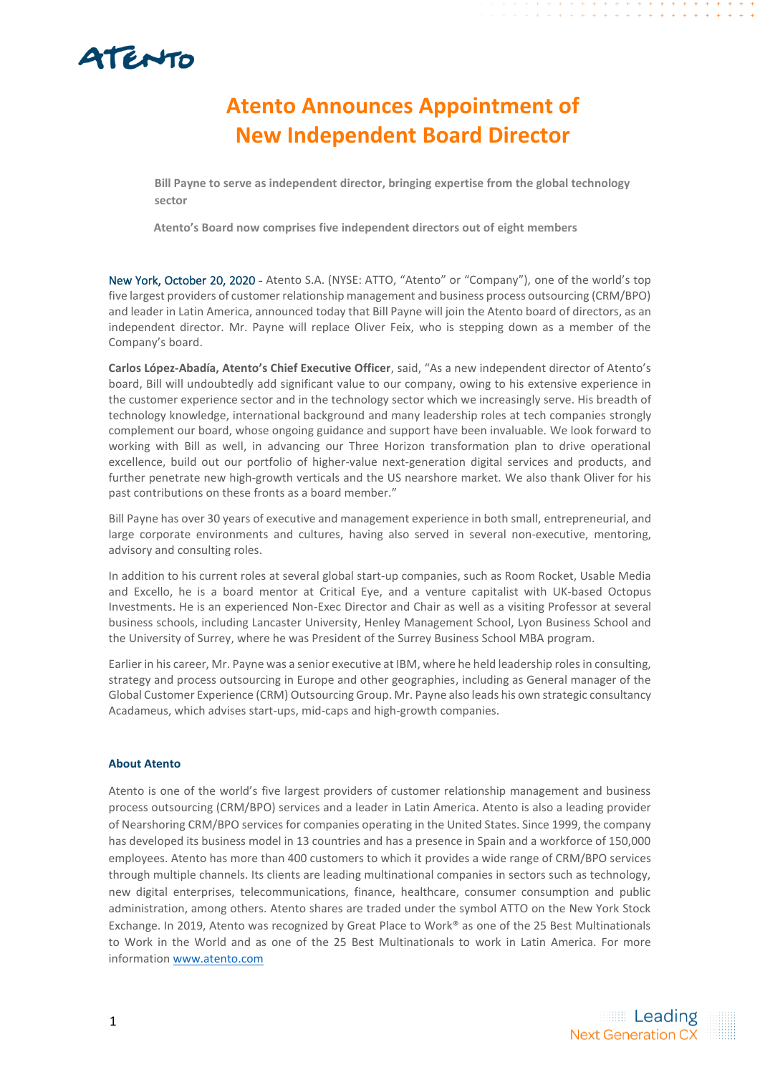## ATENTO

## **Atento Announces Appointment of New Independent Board Director**

**Bill Payne to serve as independent director, bringing expertise from the global technology sector**

**Atento's Board now comprises five independent directors out of eight members**

New York, October 20, 2020 - Atento S.A. (NYSE: ATTO, "Atento" or "Company"), one of the world's top five largest providers of customer relationship management and business process outsourcing (CRM/BPO) and leader in Latin America, announced today that Bill Payne will join the Atento board of directors, as an independent director. Mr. Payne will replace Oliver Feix, who is stepping down as a member of the Company's board.

**Carlos López-Abadía, Atento's Chief Executive Officer**, said, "As a new independent director of Atento's board, Bill will undoubtedly add significant value to our company, owing to his extensive experience in the customer experience sector and in the technology sector which we increasingly serve. His breadth of technology knowledge, international background and many leadership roles at tech companies strongly complement our board, whose ongoing guidance and support have been invaluable. We look forward to working with Bill as well, in advancing our Three Horizon transformation plan to drive operational excellence, build out our portfolio of higher-value next-generation digital services and products, and further penetrate new high-growth verticals and the US nearshore market. We also thank Oliver for his past contributions on these fronts as a board member."

Bill Payne has over 30 years of executive and management experience in both small, entrepreneurial, and large corporate environments and cultures, having also served in several non-executive, mentoring, advisory and consulting roles.

In addition to his current roles at several global start-up companies, such as Room Rocket, Usable Media and Excello, he is a board mentor at Critical Eye, and a venture capitalist with UK-based Octopus Investments. He is an experienced Non-Exec Director and Chair as well as a visiting Professor at several business schools, including Lancaster University, Henley Management School, Lyon Business School and the University of Surrey, where he was President of the Surrey Business School MBA program.

Earlier in his career, Mr. Payne was a senior executive at IBM, where he held leadership roles in consulting, strategy and process outsourcing in Europe and other geographies, including as General manager of the Global Customer Experience (CRM) Outsourcing Group. Mr. Payne also leads his own strategic consultancy Acadameus, which advises start-ups, mid-caps and high-growth companies.

## **About Atento**

Atento is one of the world's five largest providers of customer relationship management and business process outsourcing (CRM/BPO) services and a leader in Latin America. Atento is also a leading provider of Nearshoring CRM/BPO services for companies operating in the United States. Since 1999, the company has developed its business model in 13 countries and has a presence in Spain and a workforce of 150,000 employees. Atento has more than 400 customers to which it provides a wide range of CRM/BPO services through multiple channels. Its clients are leading multinational companies in sectors such as technology, new digital enterprises, telecommunications, finance, healthcare, consumer consumption and public administration, among others. Atento shares are traded under the symbol ATTO on the New York Stock Exchange. In 2019, Atento was recognized by Great Place to Work® as one of the 25 Best Multinationals to Work in the World and as one of the 25 Best Multinationals to work in Latin America. For more informatio[n www.atento.com](about:blank)